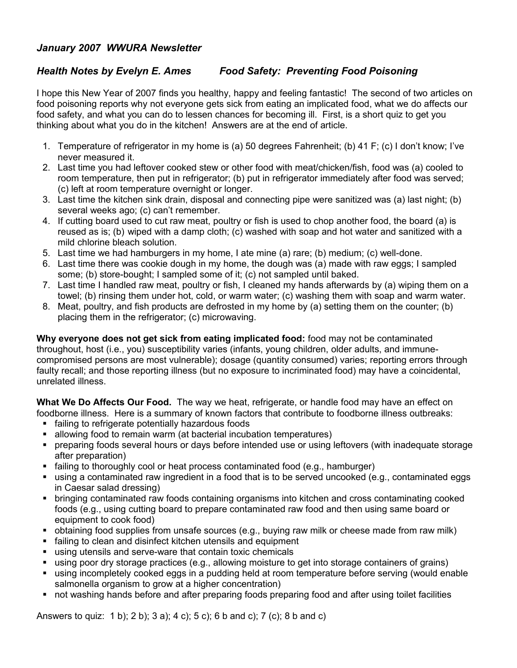## *January 2007 WWURA Newsletter*

## *Health Notes by Evelyn E. Ames Food Safety: Preventing Food Poisoning*

I hope this New Year of 2007 finds you healthy, happy and feeling fantastic! The second of two articles on food poisoning reports why not everyone gets sick from eating an implicated food, what we do affects our food safety, and what you can do to lessen chances for becoming ill. First, is a short quiz to get you thinking about what you do in the kitchen! Answers are at the end of article.

- 1. Temperature of refrigerator in my home is (a) 50 degrees Fahrenheit; (b) 41 F; (c) I don't know; I've never measured it.
- 2. Last time you had leftover cooked stew or other food with meat/chicken/fish, food was (a) cooled to room temperature, then put in refrigerator; (b) put in refrigerator immediately after food was served; (c) left at room temperature overnight or longer.
- 3. Last time the kitchen sink drain, disposal and connecting pipe were sanitized was (a) last night; (b) several weeks ago; (c) can't remember.
- 4. If cutting board used to cut raw meat, poultry or fish is used to chop another food, the board (a) is reused as is; (b) wiped with a damp cloth; (c) washed with soap and hot water and sanitized with a mild chlorine bleach solution.
- 5. Last time we had hamburgers in my home, I ate mine (a) rare; (b) medium; (c) well-done.
- 6. Last time there was cookie dough in my home, the dough was (a) made with raw eggs; I sampled some; (b) store-bought; I sampled some of it; (c) not sampled until baked.
- 7. Last time I handled raw meat, poultry or fish, I cleaned my hands afterwards by (a) wiping them on a towel; (b) rinsing them under hot, cold, or warm water; (c) washing them with soap and warm water.
- 8. Meat, poultry, and fish products are defrosted in my home by (a) setting them on the counter; (b) placing them in the refrigerator; (c) microwaving.

**Why everyone does not get sick from eating implicated food:** food may not be contaminated throughout, host (i.e., you) susceptibility varies (infants, young children, older adults, and immunecompromised persons are most vulnerable); dosage (quantity consumed) varies; reporting errors through faulty recall; and those reporting illness (but no exposure to incriminated food) may have a coincidental, unrelated illness.

**What We Do Affects Our Food.** The way we heat, refrigerate, or handle food may have an effect on foodborne illness. Here is a summary of known factors that contribute to foodborne illness outbreaks:

- failing to refrigerate potentially hazardous foods
- allowing food to remain warm (at bacterial incubation temperatures)
- preparing foods several hours or days before intended use or using leftovers (with inadequate storage after preparation)
- failing to thoroughly cool or heat process contaminated food (e.g., hamburger)
- using a contaminated raw ingredient in a food that is to be served uncooked (e.g., contaminated eggs in Caesar salad dressing)
- **•** bringing contaminated raw foods containing organisms into kitchen and cross contaminating cooked foods (e.g., using cutting board to prepare contaminated raw food and then using same board or equipment to cook food)
- obtaining food supplies from unsafe sources (e.g., buying raw milk or cheese made from raw milk)
- failing to clean and disinfect kitchen utensils and equipment
- using utensils and serve-ware that contain toxic chemicals
- using poor dry storage practices (e.g., allowing moisture to get into storage containers of grains)
- using incompletely cooked eggs in a pudding held at room temperature before serving (would enable salmonella organism to grow at a higher concentration)
- not washing hands before and after preparing foods preparing food and after using toilet facilities

Answers to quiz: 1 b); 2 b); 3 a); 4 c); 5 c); 6 b and c); 7 (c); 8 b and c)